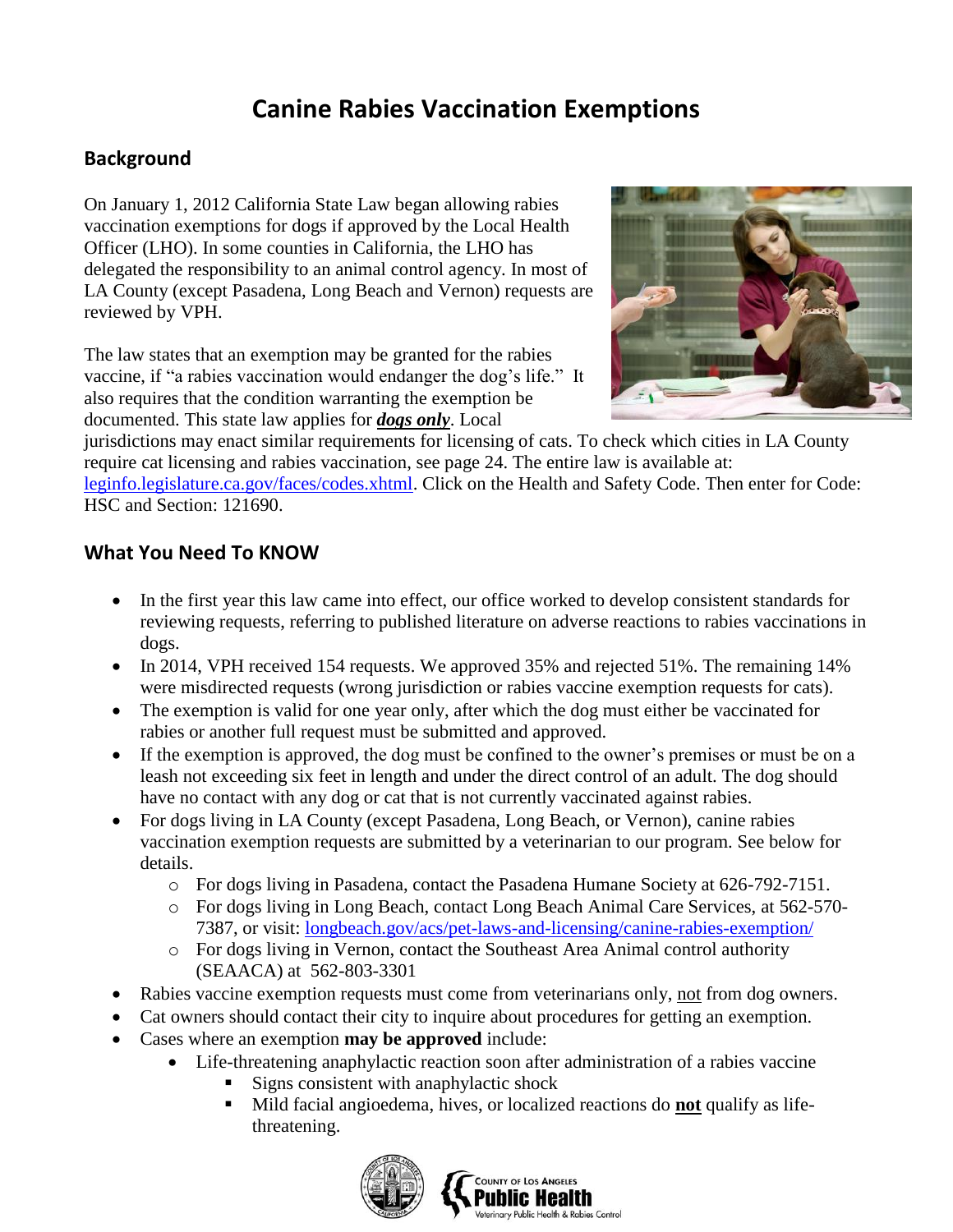## **Canine Rabies Vaccination Exemptions**

## **Background**

On January 1, 2012 California State Law began allowing rabies vaccination exemptions for dogs if approved by the Local Health Officer (LHO). In some counties in California, the LHO has delegated the responsibility to an animal control agency. In most of LA County (except Pasadena, Long Beach and Vernon) requests are reviewed by VPH.

The law states that an exemption may be granted for the rabies vaccine, if "a rabies vaccination would endanger the dog's life." It also requires that the condition warranting the exemption be documented. This state law applies for *dogs only*. Local



jurisdictions may enact similar requirements for licensing of cats. To check which cities in LA County require cat licensing and rabies vaccination, see page 24. The entire law is available at: [leginfo.legislature.ca.gov/faces/codes.xhtml.](http://leginfo.legislature.ca.gov/faces/codes.xhtml) Click on the Health and Safety Code. Then enter for Code: HSC and Section: 121690.

## **What You Need To KNOW**

- In the first year this law came into effect, our office worked to develop consistent standards for reviewing requests, referring to published literature on adverse reactions to rabies vaccinations in dogs.
- In 2014, VPH received 154 requests. We approved 35% and rejected 51%. The remaining 14% were misdirected requests (wrong jurisdiction or rabies vaccine exemption requests for cats).
- The exemption is valid for one year only, after which the dog must either be vaccinated for rabies or another full request must be submitted and approved.
- If the exemption is approved, the dog must be confined to the owner's premises or must be on a leash not exceeding six feet in length and under the direct control of an adult. The dog should have no contact with any dog or cat that is not currently vaccinated against rabies.
- For dogs living in LA County (except Pasadena, Long Beach, or Vernon), canine rabies vaccination exemption requests are submitted by a veterinarian to our program. See below for details.
	- o For dogs living in Pasadena, contact the Pasadena Humane Society at 626-792-7151.
	- o For dogs living in Long Beach, contact Long Beach Animal Care Services, at 562-570- 7387, or visit: [longbeach.gov/acs/pet-laws-and-licensing/canine-rabies-exemption/](http://www.longbeach.gov/acs/pet-laws-and-licensing/canine-rabies-exemption/)
	- o For dogs living in Vernon, contact the Southeast Area Animal control authority (SEAACA) at 562-803-3301
- Rabies vaccine exemption requests must come from veterinarians only, not from dog owners.
- Cat owners should contact their city to inquire about procedures for getting an exemption.
- Cases where an exemption **may be approved** include:
	- Life-threatening anaphylactic reaction soon after administration of a rabies vaccine
		- Signs consistent with anaphylactic shock
		- Mild facial angioedema, hives, or localized reactions do **not** qualify as lifethreatening.